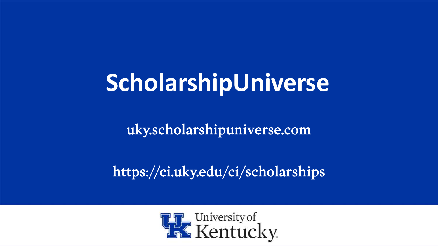# **ScholarshipUniverse**

<uky.scholarshipuniverse.com>

https://ci.uky.edu/ci/scholarships

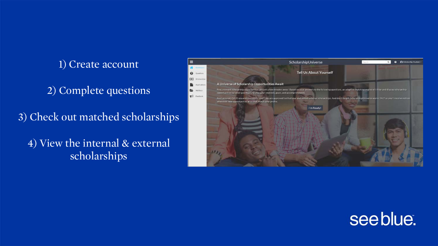1) Create account

2) Complete questions

3) Check out matched scholarships

4) View the internal & external scholarships



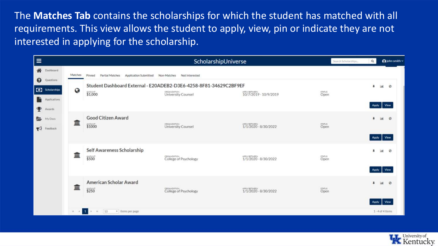The **Matches Tab** contains the scholarships for which the student has matched with all requirements. This view allows the student to apply, view, pin or indicate they are not interested in applying for the scholarship.

| $\equiv$                                                                                                                                |                  |                                                                                     | ScholarshipUniverse                                                                                     |                                       | Search Scholarships | Q                       | $\bigcap$ john smith $\vee$          |  |
|-----------------------------------------------------------------------------------------------------------------------------------------|------------------|-------------------------------------------------------------------------------------|---------------------------------------------------------------------------------------------------------|---------------------------------------|---------------------|-------------------------|--------------------------------------|--|
| 骨<br>Dashboard<br>$\boldsymbol{\Theta}$<br>Questions                                                                                    | Matches          | Pinned<br>Partial Matches<br>Application Submitted<br>Non-Matches<br>Not Interested |                                                                                                         |                                       |                     |                         |                                      |  |
| <b>9</b> Scholarships<br><b>Applications</b><br>$\mathbf{\mathbf{\Phi}}$<br>Awards<br>后<br>My Docs<br>$\blacktriangleright$<br>Feedback | $\boldsymbol{Q}$ | \$1,000                                                                             | Student Dashboard External - E20ADEB2-D3E6-4258-8F81-34629C2BF9EF<br>ORGANIZATION<br>University Counsel | APPO/BETWEEN<br>10/7/2019 - 10/9/2019 | status<br>Open      | $\blacksquare$<br>Apply | <b>Ltd.</b><br>$\circ$<br>View       |  |
|                                                                                                                                         | 血                | <b>Good Citizen Award</b><br>\$1000                                                 | ORGANIZATION<br>University Counsel                                                                      | APPO'BETWEEN<br>1/1/2020 - 8/30/2022  | status<br>Open      | $\blacksquare$          | $\circ$<br><b>Leat</b><br>Apply View |  |
|                                                                                                                                         | 皿                | Self Awareness Scholarship<br>\$500                                                 | CREAMIZATION<br>College of Psychology                                                                   | 1/1/2020 - 8/30/2022                  | status<br>Open      | ı<br>Apply              | $\circledcirc$<br>Liab<br>View       |  |
|                                                                                                                                         | 皿                | American Scholar Award<br>\$250                                                     | ORGANIZATION<br>College of Psychology                                                                   | 1/1/2020 - 8/30/2022                  | status<br>Open      | Apply                   | $\circ$<br>[ad]<br>View              |  |
|                                                                                                                                         |                  | $\vert 1 \vert$<br>10<br>* Items per page<br>16                                     |                                                                                                         |                                       |                     |                         | $1 - 4$ of 4 Items                   |  |

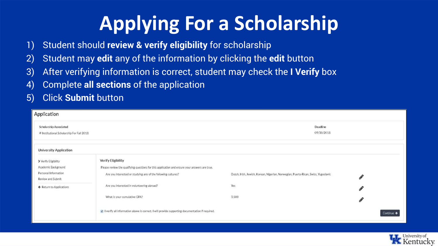## **Applying For a Scholarship**

- 1) Student should **review & verify eligibility** for scholarship
- 2) Student may **edit** any of the information by clicking the **edit** button
- 3) After verifying information is correct, student may check the **I Verify** box
- 4) Complete **all sections** of the application
- 5) Click **Submit** button

| Application                                                                              |                                                                                                                                                                                      |                                                                                    |            |  |  |  |  |  |
|------------------------------------------------------------------------------------------|--------------------------------------------------------------------------------------------------------------------------------------------------------------------------------------|------------------------------------------------------------------------------------|------------|--|--|--|--|--|
| <b>Scholarship Associated</b><br>M Institutional Scholarship For Fall 2018               |                                                                                                                                                                                      | Deadline<br>09/30/2018                                                             |            |  |  |  |  |  |
| <b>University Application</b>                                                            |                                                                                                                                                                                      |                                                                                    |            |  |  |  |  |  |
| > Verify Eligibility<br>Academic Background<br>Personal Information<br>Review and Submit | Verify Eligibility<br>Please review the qualifying questions for this application and ensure your answers are true.<br>Are you interested or studying any of the following cultures? | Dutch, Irish, Jewish, Korean, Nigerian, Norwegian, Puerto Rican, Swiss, Yugoslavic | Í          |  |  |  |  |  |
| ← Return to Applications                                                                 | Are you interested in volunteering abroad?                                                                                                                                           | Yes                                                                                | P          |  |  |  |  |  |
|                                                                                          | What is your cumulative GPA?                                                                                                                                                         | 3.500                                                                              |            |  |  |  |  |  |
|                                                                                          | E I verify all information above is correct. I will provide supporting documentation if required.                                                                                    |                                                                                    | Continue > |  |  |  |  |  |

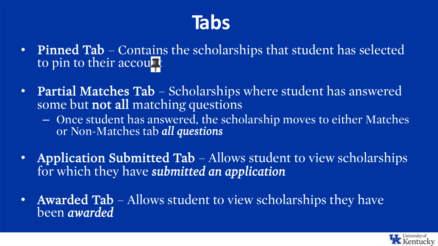#### **Tabs**

- Pinned Tab Contains the scholarships that student has selected to pin to their account
- Partial Matches Tab Scholarships where student has answered some but not all matching questions
	- Once student has answered, the scholarship moves to either Matches or Non-Matches tab *all questions*
- Application Submitted Tab Allows student to view scholarships for which they have *submitted an application*
- Awarded Tab Allows student to view scholarships they have been *awarded*

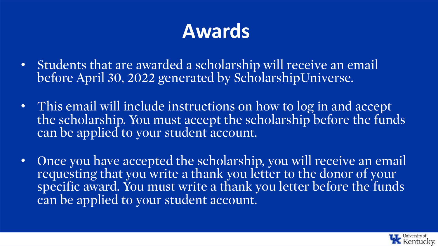#### **Awards**

- Students that are awarded a scholarship will receive an email before April 30, 2022 generated by ScholarshipUniverse.
- This email will include instructions on how to log in and accept the scholarship. You must accept the scholarship before the funds can be applied to your student account.
- Once you have accepted the scholarship, you will receive an email requesting that you write a thank you letter to the donor of your specific award. You must write a thank you letter before the funds can be applied to your student account.